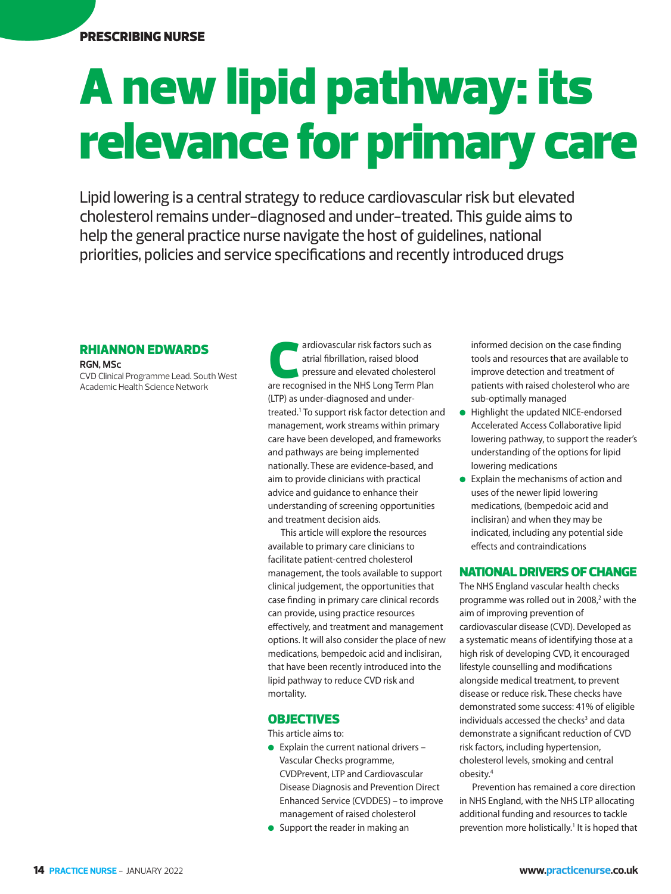PRESCRIBING NURSE

# A new lipid pathway: its relevance for primary care

Lipid lowering is a central strategy to reduce cardiovascular risk but elevated cholesterol remains under-diagnosed and under-treated. This guide aims to help the general practice nurse navigate the host of guidelines, national priorities, policies and service specifications and recently introduced drugs

# RHIANNON EDWARDS

**RGN, MSc**  CVD Clinical Programme Lead. South West Academic Health Science Network

ardiovascular risk factors such as<br>atrial fibrillation, raised blood<br>pressure and elevated cholestero<br>are recognised in the NHS Long Term Plan atrial fibrillation, raised blood pressure and elevated cholesterol (LTP) as under-diagnosed and undertreated.1 To support risk factor detection and management, work streams within primary care have been developed, and frameworks and pathways are being implemented nationally. These are evidence-based, and aim to provide clinicians with practical advice and guidance to enhance their understanding of screening opportunities and treatment decision aids.

This article will explore the resources available to primary care clinicians to facilitate patient-centred cholesterol management, the tools available to support clinical judgement, the opportunities that case finding in primary care clinical records can provide, using practice resources effectively, and treatment and management options. It will also consider the place of new medications, bempedoic acid and inclisiran, that have been recently introduced into the lipid pathway to reduce CVD risk and mortality.

# **OBJECTIVES**

This article aims to:

- $\bullet$  Explain the current national drivers Vascular Checks programme, CVDPrevent, LTP and Cardiovascular Disease Diagnosis and Prevention Direct Enhanced Service (CVDDES) – to improve management of raised cholesterol
- Support the reader in making an

informed decision on the case finding tools and resources that are available to improve detection and treatment of patients with raised cholesterol who are sub-optimally managed

- Highlight the updated NICE-endorsed Accelerated Access Collaborative lipid lowering pathway, to support the reader's understanding of the options for lipid lowering medications
- Explain the mechanisms of action and uses of the newer lipid lowering medications, (bempedoic acid and inclisiran) and when they may be indicated, including any potential side effects and contraindications

## NATIONAL DRIVERS OF CHANGE

The NHS England vascular health checks programme was rolled out in 2008,<sup>2</sup> with the aim of improving prevention of cardiovascular disease (CVD). Developed as a systematic means of identifying those at a high risk of developing CVD, it encouraged lifestyle counselling and modifications alongside medical treatment, to prevent disease or reduce risk. These checks have demonstrated some success: 41% of eligible individuals accessed the checks<sup>3</sup> and data demonstrate a significant reduction of CVD risk factors, including hypertension, cholesterol levels, smoking and central obesity.4

Prevention has remained a core direction in NHS England, with the NHS LTP allocating additional funding and resources to tackle prevention more holistically.<sup>1</sup> It is hoped that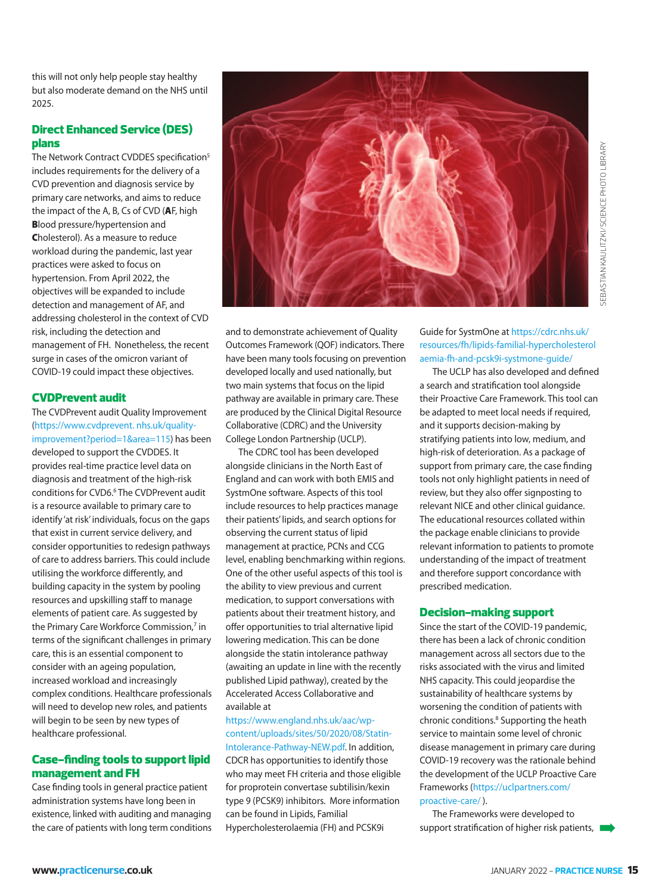this will not only help people stay healthy but also moderate demand on the NHS until 2025.

# Direct Enhanced Service (DES) plans

The Network Contract CVDDES specification<sup>5</sup> includes requirements for the delivery of a CVD prevention and diagnosis service by primary care networks, and aims to reduce the impact of the A, B, Cs of CVD (**A**F, high **B**lood pressure/hypertension and **C**holesterol). As a measure to reduce workload during the pandemic, last year practices were asked to focus on hypertension. From April 2022, the objectives will be expanded to include detection and management of AF, and addressing cholesterol in the context of CVD risk, including the detection and management of FH. Nonetheless, the recent surge in cases of the omicron variant of COVID-19 could impact these objectives.

## CVDPrevent audit

The CVDPrevent audit Quality Improvement (https://www.cvdprevent. nhs.uk/qualityimprovement?period=1&area=115) has been developed to support the CVDDES. It provides real-time practice level data on diagnosis and treatment of the high-risk conditions for CVD6.<sup>6</sup> The CVDPrevent audit is a resource available to primary care to identify 'at risk' individuals, focus on the gaps that exist in current service delivery, and consider opportunities to redesign pathways of care to address barriers. This could include utilising the workforce differently, and building capacity in the system by pooling resources and upskilling staff to manage elements of patient care. As suggested by the Primary Care Workforce Commission,<sup>7</sup> in terms of the significant challenges in primary care, this is an essential component to consider with an ageing population, increased workload and increasingly complex conditions. Healthcare professionals will need to develop new roles, and patients will begin to be seen by new types of healthcare professional.

## Case-finding tools to support lipid management and FH

Case finding tools in general practice patient administration systems have long been in existence, linked with auditing and managing the care of patients with long term conditions



The CDRC tool has been developed alongside clinicians in the North East of England and can work with both EMIS and SystmOne software. Aspects of this tool include resources to help practices manage their patients' lipids, and search options for observing the current status of lipid management at practice, PCNs and CCG level, enabling benchmarking within regions. One of the other useful aspects of this tool is the ability to view previous and current medication, to support conversations with patients about their treatment history, and offer opportunities to trial alternative lipid lowering medication. This can be done alongside the statin intolerance pathway (awaiting an update in line with the recently published Lipid pathway), created by the Accelerated Access Collaborative and available at

https://www.england.nhs.uk/aac/wpcontent/uploads/sites/50/2020/08/Statin-Intolerance-Pathway-NEW.pdf. In addition, CDCR has opportunities to identify those who may meet FH criteria and those eligible for proprotein convertase subtilisin/kexin type 9 (PCSK9) inhibitors. More information can be found in Lipids, Familial Hypercholesterolaemia (FH) and PCSK9i

Guide for SystmOne at https://cdrc.nhs.uk/ resources/fh/lipids-familial-hypercholesterol aemia-fh-and-pcsk9i-systmone-guide/

The UCLP has also developed and defined a search and stratification tool alongside their Proactive Care Framework. This tool can be adapted to meet local needs if required, and it supports decision-making by stratifying patients into low, medium, and high-risk of deterioration. As a package of support from primary care, the case finding tools not only highlight patients in need of review, but they also offer signposting to relevant NICE and other clinical guidance. The educational resources collated within the package enable clinicians to provide relevant information to patients to promote understanding of the impact of treatment and therefore support concordance with prescribed medication. Support stratification of the Comparison of the Comparison of the CCL Procent of the CCL Procent Constrained a search and stratification tool alongside<br>their Procentic CR Famework. This too longside<br>agency can be adapted t

#### Decision-making support

Since the start of the COVID-19 pandemic, there has been a lack of chronic condition management across all sectors due to the risks associated with the virus and limited NHS capacity. This could jeopardise the sustainability of healthcare systems by worsening the condition of patients with chronic conditions.<sup>8</sup> Supporting the heath service to maintain some level of chronic disease management in primary care during COVID-19 recovery was the rationale behind the development of the UCLP Proactive Care Frameworks (https://uclpartners.com/ proactive-care/ ).

The Frameworks were developed to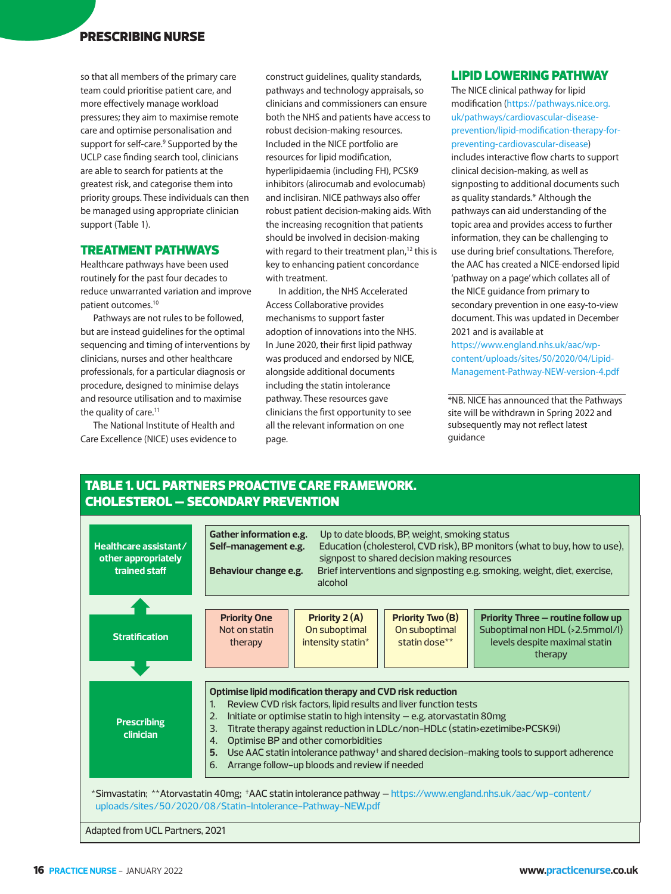# PRESCRIBING NURSE

so that all members of the primary care team could prioritise patient care, and more effectively manage workload pressures; they aim to maximise remote care and optimise personalisation and support for self-care.<sup>9</sup> Supported by the UCLP case finding search tool, clinicians are able to search for patients at the greatest risk, and categorise them into priority groups. These individuals can then be managed using appropriate clinician support (Table 1).

### TREATMENT PATHWAYS

Healthcare pathways have been used routinely for the past four decades to reduce unwarranted variation and improve patient outcomes.10

Pathways are not rules to be followed, but are instead guidelines for the optimal sequencing and timing of interventions by clinicians, nurses and other healthcare professionals, for a particular diagnosis or procedure, designed to minimise delays and resource utilisation and to maximise the quality of care.<sup>11</sup>

The National Institute of Health and Care Excellence (NICE) uses evidence to

construct guidelines, quality standards, pathways and technology appraisals, so clinicians and commissioners can ensure both the NHS and patients have access to robust decision-making resources. Included in the NICE portfolio are resources for lipid modification, hyperlipidaemia (including FH), PCSK9 inhibitors (alirocumab and evolocumab) and inclisiran. NICE pathways also offer robust patient decision-making aids. With the increasing recognition that patients should be involved in decision-making with regard to their treatment plan, $12$  this is key to enhancing patient concordance with treatment.

In addition, the NHS Accelerated Access Collaborative provides mechanisms to support faster adoption of innovations into the NHS. In June 2020, their first lipid pathway was produced and endorsed by NICE, alongside additional documents including the statin intolerance pathway. These resources gave clinicians the first opportunity to see all the relevant information on one page.

# LIPID LOWERING PATHWAY

The NICE clinical pathway for lipid modification (https://pathways.nice.org. uk/pathways/cardiovascular-diseaseprevention/lipid-modification-therapy-forpreventing-cardiovascular-disease) includes interactive flow charts to support clinical decision-making, as well as signposting to additional documents such as quality standards.\* Although the pathways can aid understanding of the topic area and provides access to further information, they can be challenging to use during brief consultations. Therefore, the AAC has created a NICE-endorsed lipid 'pathway on a page' which collates all of the NICE guidance from primary to secondary prevention in one easy-to-view document. This was updated in December 2021 and is available at

https://www.england.nhs.uk/aac/wpcontent/uploads/sites/50/2020/04/Lipid-Management-Pathway-NEW-version-4.pdf

\*NB. NICE has announced that the Pathways site will be withdrawn in Spring 2022 and subsequently may not reflect latest guidance

# TABLE 1. UCL PARTNERS PROACTIVE CARE FRAMEWORK. CHOLESTEROL – SECONDARY PREVENTION

| Healthcare assistant/<br>other appropriately<br>trained staff                                  | Gather information e.g.<br>Self-management e.g.<br>Behaviour change e.g.                                                                                                                                                                                                                                                                                                                                                                                                                                                     | alcohol                                              | Up to date bloods, BP, weight, smoking status<br>signpost to shared decision making resources | Education (cholesterol, CVD risk), BP monitors (what to buy, how to use),<br>Brief interventions and signposting e.g. smoking, weight, diet, exercise, |
|------------------------------------------------------------------------------------------------|------------------------------------------------------------------------------------------------------------------------------------------------------------------------------------------------------------------------------------------------------------------------------------------------------------------------------------------------------------------------------------------------------------------------------------------------------------------------------------------------------------------------------|------------------------------------------------------|-----------------------------------------------------------------------------------------------|--------------------------------------------------------------------------------------------------------------------------------------------------------|
| <b>Stratification</b>                                                                          | <b>Priority One</b><br>Not on statin<br>therapy                                                                                                                                                                                                                                                                                                                                                                                                                                                                              | Priority 2 (A)<br>On suboptimal<br>intensity statin* | <b>Priority Two (B)</b><br>On suboptimal<br>statin dose**                                     | Priority Three - routine follow up<br>Suboptimal non HDL (>2.5mmol/l)<br>levels despite maximal statin<br>therapy                                      |
| <b>Prescribing</b><br>clinician                                                                | Optimise lipid modification therapy and CVD risk reduction<br>Review CVD risk factors, lipid results and liver function tests<br>1.<br>Initiate or optimise statin to high intensity - e.g. atorvastatin 80mg<br>2.<br>Titrate therapy against reduction in LDLc/non-HDLc (statin>ezetimibe>PCSK9i)<br>3.<br>Optimise BP and other comorbidities<br>4.<br>5.<br>Use AAC statin intolerance pathway <sup>+</sup> and shared decision-making tools to support adherence<br>Arrange follow-up bloods and review if needed<br>6. |                                                      |                                                                                               |                                                                                                                                                        |
| uploads/sites/50/2020/08/Statin-Intolerance-Pathway-NEW.pdf<br>Adapted from UCL Partners, 2021 |                                                                                                                                                                                                                                                                                                                                                                                                                                                                                                                              |                                                      |                                                                                               | *Simvastatin; **Atorvastatin 40mg; *AAC statin intolerance pathway - https://www.england.nhs.uk/aac/wp-content/                                        |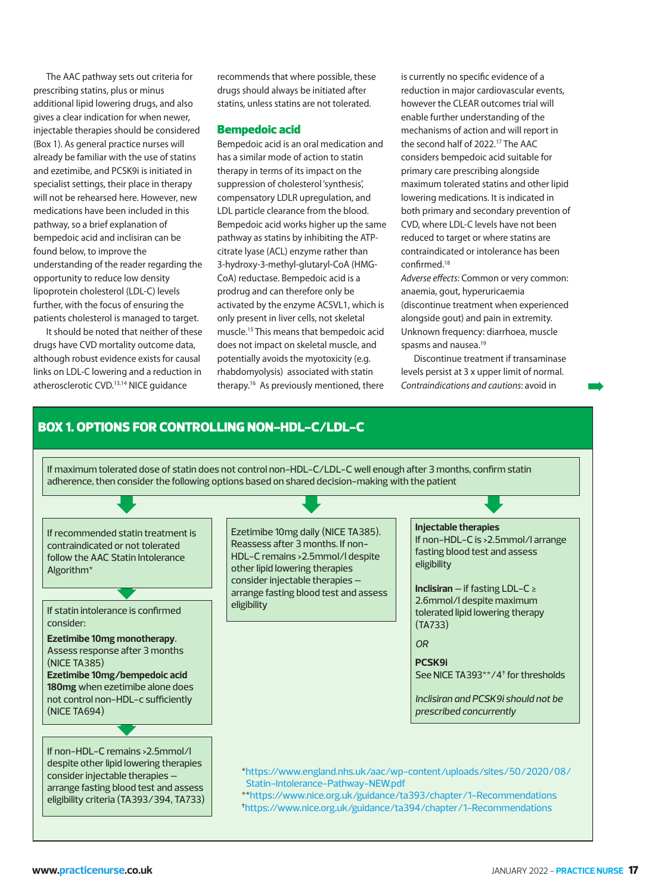The AAC pathway sets out criteria for prescribing statins, plus or minus additional lipid lowering drugs, and also gives a clear indication for when newer, injectable therapies should be considered (Box 1). As general practice nurses will already be familiar with the use of statins and ezetimibe, and PCSK9i is initiated in specialist settings, their place in therapy will not be rehearsed here. However, new medications have been included in this pathway, so a brief explanation of bempedoic acid and inclisiran can be found below, to improve the understanding of the reader regarding the opportunity to reduce low density lipoprotein cholesterol (LDL-C) levels further, with the focus of ensuring the patients cholesterol is managed to target.

It should be noted that neither of these drugs have CVD mortality outcome data, although robust evidence exists for causal links on LDL-C lowering and a reduction in atherosclerotic CVD.13,14 NICE guidance

recommends that where possible, these drugs should always be initiated after statins, unless statins are not tolerated.

#### Bempedoic acid

Bempedoic acid is an oral medication and has a similar mode of action to statin therapy in terms of its impact on the suppression of cholesterol 'synthesis', compensatory LDLR upregulation, and LDL particle clearance from the blood. Bempedoic acid works higher up the same pathway as statins by inhibiting the ATPcitrate lyase (ACL) enzyme rather than 3-hydroxy-3-methyl-glutaryl-CoA (HMG-CoA) reductase. Bempedoic acid is a prodrug and can therefore only be activated by the enzyme ACSVL1, which is only present in liver cells, not skeletal muscle.15 This means that bempedoic acid does not impact on skeletal muscle, and potentially avoids the myotoxicity (e.g. rhabdomyolysis) associated with statin therapy.16 As previously mentioned, there

is currently no specific evidence of a reduction in major cardiovascular events, however the CLEAR outcomes trial will enable further understanding of the mechanisms of action and will report in the second half of 2022.17 The AAC considers bempedoic acid suitable for primary care prescribing alongside maximum tolerated statins and other lipid lowering medications. It is indicated in both primary and secondary prevention of CVD, where LDL-C levels have not been reduced to target or where statins are contraindicated or intolerance has been confirmed.18

Adverse effects: Common or very common: anaemia, gout, hyperuricaemia (discontinue treatment when experienced alongside gout) and pain in extremity. Unknown frequency: diarrhoea, muscle spasms and nausea.19

Discontinue treatment if transaminase levels persist at 3 x upper limit of normal. Contraindications and cautions: avoid in

➡

# BOX 1. OPTIONS FOR CONTROLLING NON-HDL-C/LDL-C

adherence, then consider the following options based on shared decision-making with the patient  $\blacksquare$ If maximum tolerated dose of statin does not control non-HDL-C/LDL-C well enough after 3 months, confirm statin ➡

➡ If recommended statin treatment is contraindicated or not tolerated follow the AAC Statin Intolerance Algorithm\*

If statin intolerance is confirmed consider:

➡ **Ezetimibe 10mg monotherapy**. Assess response after 3 months (NICE TA385) **Ezetimibe 10mg/bempedoic acid 180mg** when ezetimibe alone does not control non-HDL-c sufficiently (NICE TA694)

If non-HDL-C remains >2.5mmol/l despite other lipid lowering therapies consider injectable therapies – arrange fasting blood test and assess eligibility criteria (TA393/394, TA733) Ezetimibe 10mg daily (NICE TA385). Reassess after 3 months. If non-HDL-C remains >2.5mmol/l despite other lipid lowering therapies consider injectable therapies – arrange fasting blood test and assess eligibility

#### **Injectable therapies**

If non-HDL-C is >2.5mmol/l arrange fasting blood test and assess eligibility

**Inclisiran** – if fasting LDL-C ≥ 2.6mmol/l despite maximum tolerated lipid lowering therapy (TA733)

*OR*

**PCSK9i**

See NICE TA393\*\*/4† for thresholds

*Inclisiran and PCSK9i should not be prescribed concurrently*

\*https://www.england.nhs.uk/aac/wp-content/uploads/sites/50/2020/08/ Statin-Intolerance-Pathway-NEW.pdf

\*\*https://www.nice.org.uk/guidance/ta393/chapter/1-Recommendations †https://www.nice.org.uk/guidance/ta394/chapter/1-Recommendations